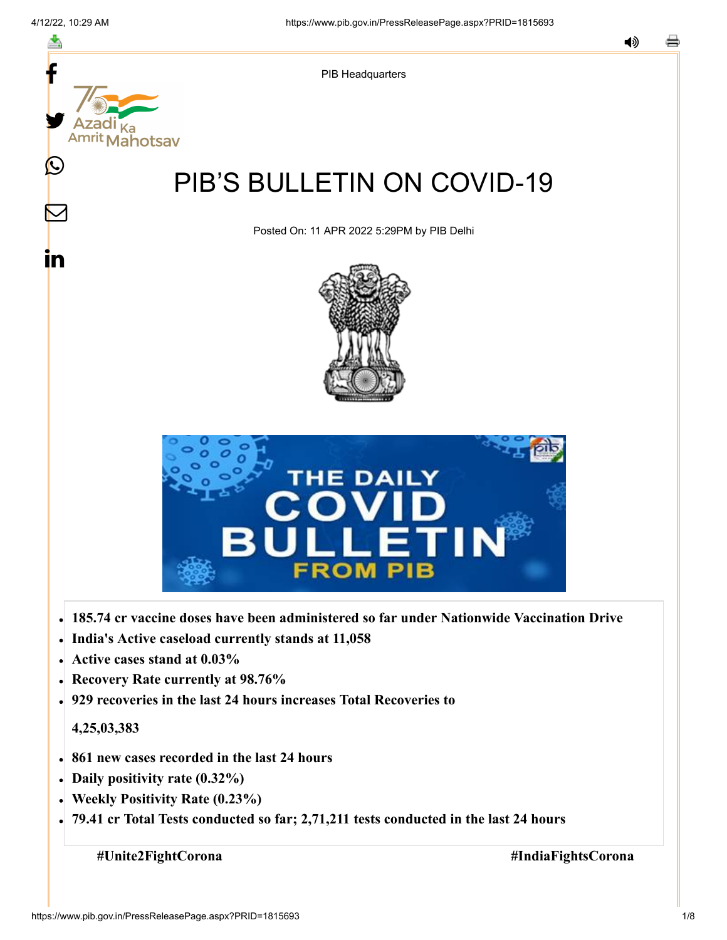

- **India's Active caseload currently stands at 11,058**
- **Active cases stand at 0.03%**
- **Recovery Rate currently at 98.76%**
- **929 recoveries in the last 24 hours increases Total Recoveries to**

## **4,25,03,383**

- **861 new cases recorded in the last 24 hours**
- **Daily positivity rate (0.32%)**
- **Weekly Positivity Rate (0.23%)**
- **79.41 cr Total Tests conducted so far; 2,71,211 tests conducted in the last 24 hours**

**#Unite2FightCorona #IndiaFightsCorona**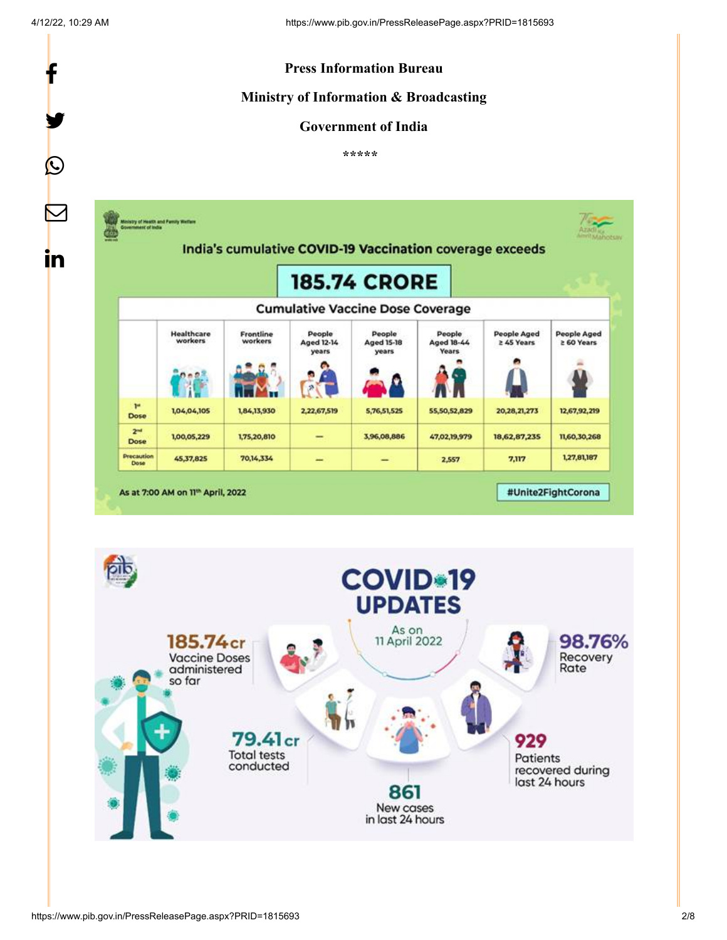f

y.

 $\bigcirc$ 



## **Ministry of Information & Broadcasting**

## **Government of India**

**\*\*\*\*\*** 



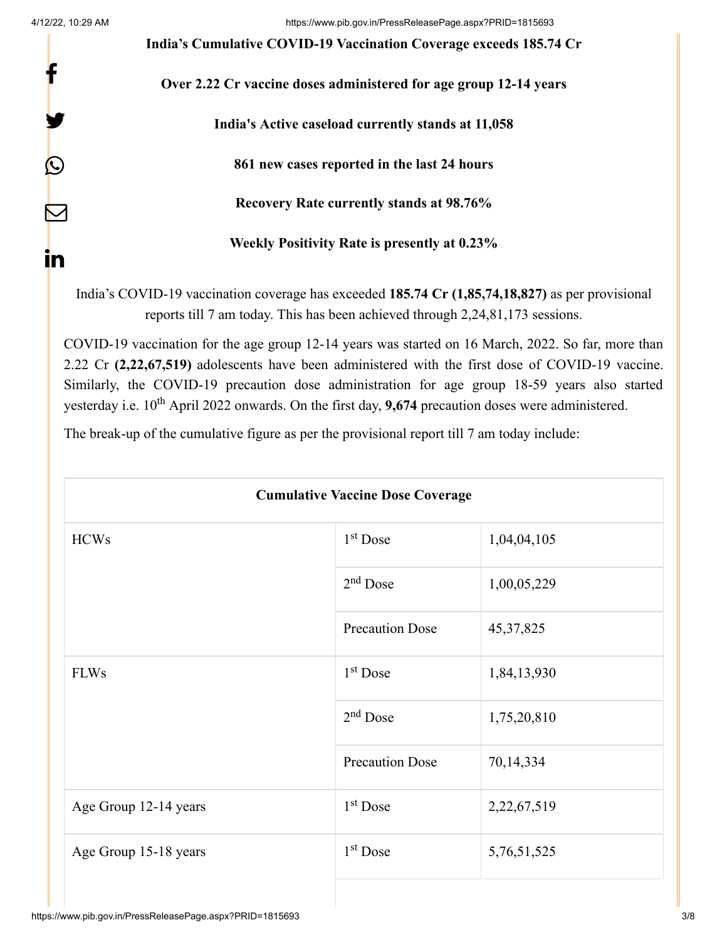f

y.

 $\bm{\mathcal{Q}}$ 

 $\bm{\nabla}$ 

in

**India's Cumulative COVID-19 Vaccination Coverage exceeds 185.74 Cr**

**Over 2.22 Cr vaccine doses administered for age group 12-14 years**

**India's Active caseload currently stands at 11,058**

**861 new cases reported in the last 24 hours**

**Recovery Rate currently stands at 98.76%**

**Weekly Positivity Rate is presently at 0.23%**

India's COVID-19 vaccination coverage has exceeded **185.74 Cr (1,85,74,18,827)** as per provisional reports till 7 am today. This has been achieved through 2,24,81,173 sessions.

COVID-19 vaccination for the age group 12-14 years was started on 16 March, 2022. So far, more than 2.22 Cr **(2,22,67,519)** adolescents have been administered with the first dose of COVID-19 vaccine. Similarly, the COVID-19 precaution dose administration for age group 18-59 years also started yesterday i.e. 10<sup>th</sup> April 2022 onwards. On the first day, 9,674 precaution doses were administered.

The break-up of the cumulative figure as per the provisional report till 7 am today include:

| <b>Cumulative Vaccine Dose Coverage</b> |                        |             |  |
|-----------------------------------------|------------------------|-------------|--|
| <b>HCWs</b>                             | $1st$ Dose             | 1,04,04,105 |  |
|                                         | $2nd$ Dose             | 1,00,05,229 |  |
|                                         | <b>Precaution Dose</b> | 45, 37, 825 |  |
| <b>FLWs</b>                             | $1st$ Dose             | 1,84,13,930 |  |
|                                         | $2nd$ Dose             | 1,75,20,810 |  |
|                                         | <b>Precaution Dose</b> | 70,14,334   |  |
| Age Group 12-14 years                   | 1 <sup>st</sup> Dose   | 2,22,67,519 |  |
| Age Group 15-18 years                   | $1st$ Dose             | 5,76,51,525 |  |
|                                         |                        |             |  |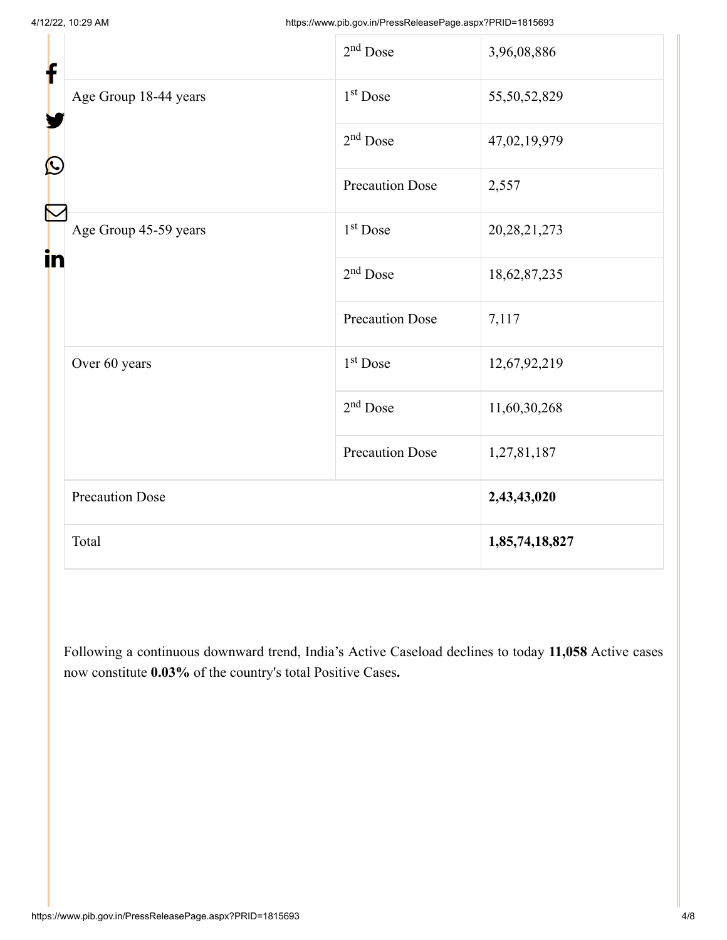| f                 |                        | $2nd$ Dose             | 3,96,08,886     |
|-------------------|------------------------|------------------------|-----------------|
| $\mathbf{\Omega}$ | Age Group 18-44 years  | 1 <sup>st</sup> Dose   | 55,50,52,829    |
|                   |                        | $2nd$ Dose             | 47,02,19,979    |
| in                |                        | <b>Precaution Dose</b> | 2,557           |
|                   | Age Group 45-59 years  | 1 <sup>st</sup> Dose   | 20, 28, 21, 273 |
|                   | Over 60 years          | $2nd$ Dose             | 18,62,87,235    |
|                   |                        | <b>Precaution Dose</b> | 7,117           |
|                   |                        | $1st$ Dose             | 12,67,92,219    |
|                   |                        | $2nd$ Dose             | 11,60,30,268    |
|                   |                        | <b>Precaution Dose</b> | 1,27,81,187     |
|                   | <b>Precaution Dose</b> |                        | 2,43,43,020     |
|                   | Total                  |                        | 1,85,74,18,827  |

Following a continuous downward trend, India's Active Caseload declines to today **11,058** Active cases now constitute **0.03%** of the country's total Positive Cases**.**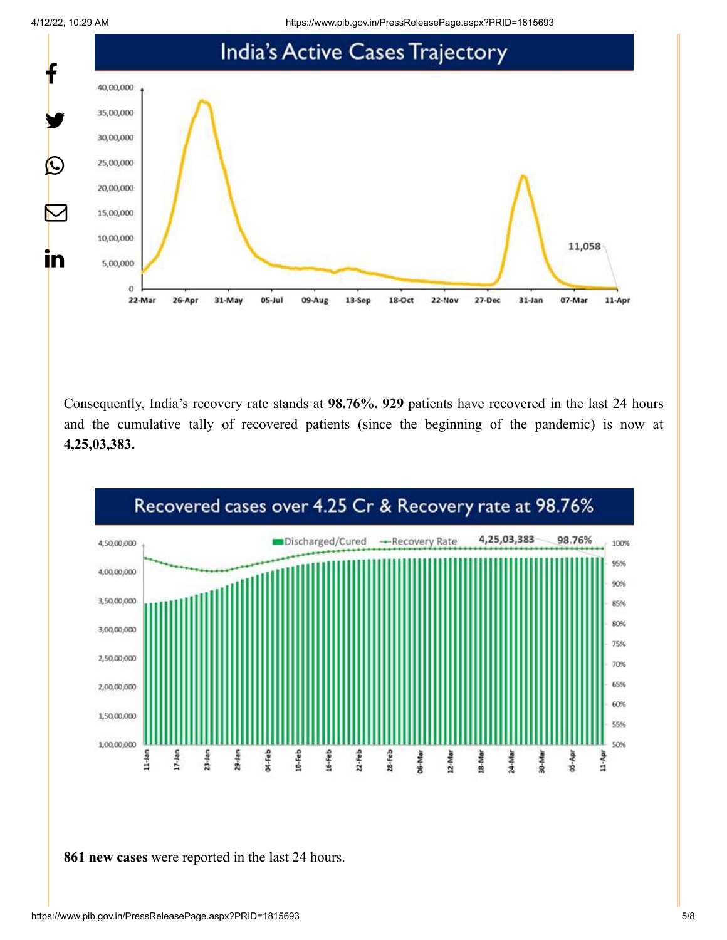4/12/22, 10:29 AM https://www.pib.gov.in/PressReleasePage.aspx?PRID=1815693



Consequently, India's recovery rate stands at **98.76%. 929** patients have recovered in the last 24 hours and the cumulative tally of recovered patients (since the beginning of the pandemic) is now at **4,25,03,383.**



**861 new cases** were reported in the last 24 hours.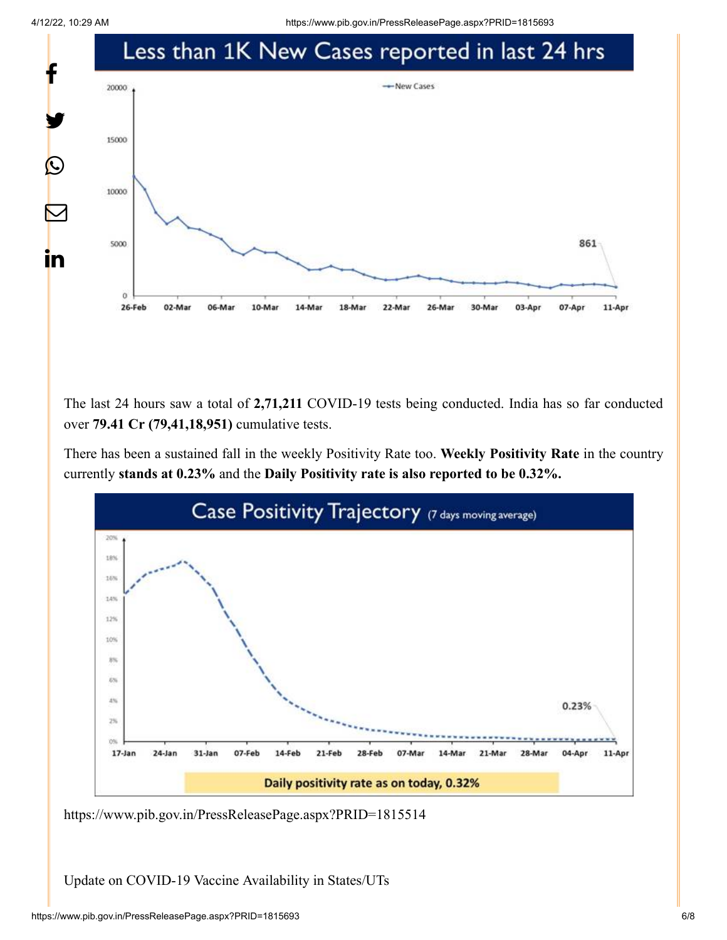4/12/22, 10:29 AM https://www.pib.gov.in/PressReleasePage.aspx?PRID=1815693



The last 24 hours saw a total of **2,71,211** COVID-19 tests being conducted. India has so far conducted over **79.41 Cr (79,41,18,951)** cumulative tests.

There has been a sustained fall in the weekly Positivity Rate too. **Weekly Positivity Rate** in the country currently **stands at 0.23%** and the **Daily Positivity rate is also reported to be 0.32%.**



<https://www.pib.gov.in/PressReleasePage.aspx?PRID=1815514>

Update on COVID-19 Vaccine Availability in States/UTs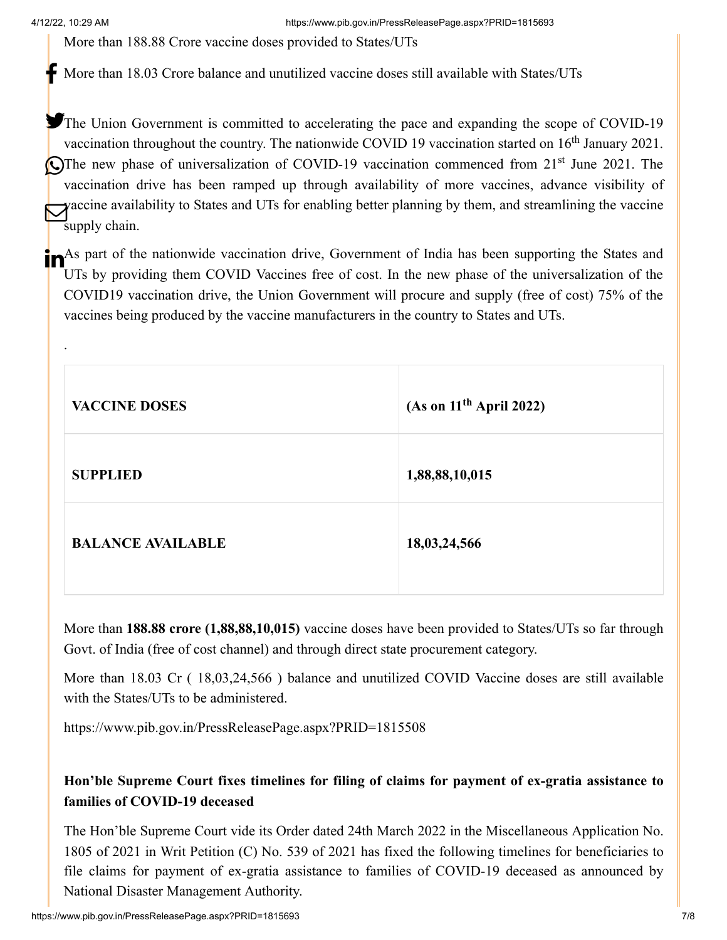.

4/12/22, 10:29 AM https://www.pib.gov.in/PressReleasePage.aspx?PRID=1815693

More than 188.88 Crore vaccine doses provided to States/UTs

More than 18.03 Crore balance and unutilized vaccine doses still available with States/UTs

The Union Government is committed to accelerating the pace and expanding the scope of COVID-19 vaccination throughout the country. The nationwide COVID 19 vaccination started on  $16<sup>th</sup>$  January 2021. The new phase of universalization of COVID-19 vaccination commenced from  $21<sup>st</sup>$  June 2021. The vaccination drive has been ramped up through availability of more vaccines, advance visibility of vaccine availability to States and UTs for enabling better planning by them, and streamlining the vaccine supply chain.

**The As part of the nationwide vaccination drive, Government of India has been supporting the States and** UTs by providing them COVID Vaccines free of cost. In the new phase of the universalization of the COVID19 vaccination drive, the Union Government will procure and supply (free of cost) 75% of the vaccines being produced by the vaccine manufacturers in the country to States and UTs.

| <b>VACCINE DOSES</b>     | (As on $11th$ April 2022) |
|--------------------------|---------------------------|
| <b>SUPPLIED</b>          | 1,88,88,10,015            |
| <b>BALANCE AVAILABLE</b> | 18,03,24,566              |

More than **188.88 crore (1,88,88,10,015)** vaccine doses have been provided to States/UTs so far through Govt. of India (free of cost channel) and through direct state procurement category.

More than 18.03 Cr (18,03,24,566) balance and unutilized COVID Vaccine doses are still available with the States/UTs to be administered.

<https://www.pib.gov.in/PressReleasePage.aspx?PRID=1815508>

## **Hon'ble Supreme Court fixes timelines for filing of claims for payment of ex-gratia assistance to families of COVID-19 deceased**

The Hon'ble Supreme Court vide its Order dated 24th March 2022 in the Miscellaneous Application No. 1805 of 2021 in Writ Petition (C) No. 539 of 2021 has fixed the following timelines for beneficiaries to file claims for payment of ex-gratia assistance to families of COVID-19 deceased as announced by National Disaster Management Authority.